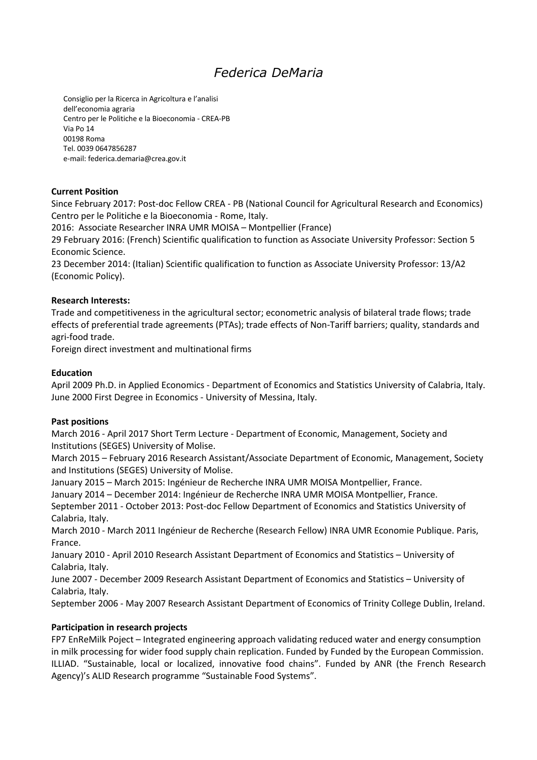# Federica DeMaria

Consiglio per la Ricerca in Agricoltura e l'analisi dell'economia agraria Centro per le Politiche e la Bioeconomia - CREA-PB Via Po 14 00198 Roma Tel. 0039 0647856287 e-mail: federica.demaria@crea.gov.it

## **Current Position**

Since February 2017: Post-doc Fellow CREA - PB (National Council for Agricultural Research and Economics) Centro per le Politiche e la Bioeconomia - Rome, Italy.

2016: Associate Researcher INRA UMR MOISA - Montpellier (France)

29 February 2016: (French) Scientific qualification to function as Associate University Professor: Section 5 Economic Science.

23 December 2014: (Italian) Scientific qualification to function as Associate University Professor: 13/A2 (Economic Policy).

#### **Research Interests:**

Trade and competitiveness in the agricultural sector; econometric analysis of bilateral trade flows; trade effects of preferential trade agreements (PTAs); trade effects of Non-Tariff barriers; quality, standards and agri-food trade.

Foreign direct investment and multinational firms

## **Education**

April 2009 Ph.D. in Applied Economics - Department of Economics and Statistics University of Calabria, Italy. June 2000 First Degree in Economics - University of Messina, Italy.

#### **Past positions**

March 2016 - April 2017 Short Term Lecture - Department of Economic, Management, Society and Institutions (SEGES) University of Molise.

March 2015 - February 2016 Research Assistant/Associate Department of Economic, Management, Society and Institutions (SEGES) University of Molise.

January 2015 - March 2015: Ingénieur de Recherche INRA UMR MOISA Montpellier, France.

January 2014 - December 2014: Ingénieur de Recherche INRA UMR MOISA Montpellier, France.

September 2011 - October 2013: Post-doc Fellow Department of Economics and Statistics University of Calabria, Italy.

March 2010 - March 2011 Ingénieur de Recherche (Research Fellow) INRA UMR Economie Publique. Paris, France.

January 2010 - April 2010 Research Assistant Department of Economics and Statistics - University of Calabria, Italy.

June 2007 - December 2009 Research Assistant Department of Economics and Statistics - University of Calabria, Italy.

September 2006 - May 2007 Research Assistant Department of Economics of Trinity College Dublin, Ireland.

# Participation in research projects

FP7 EnReMilk Poject - Integrated engineering approach validating reduced water and energy consumption in milk processing for wider food supply chain replication. Funded by Funded by the European Commission. ILLIAD. "Sustainable, local or localized, innovative food chains". Funded by ANR (the French Research Agency)'s ALID Research programme "Sustainable Food Systems".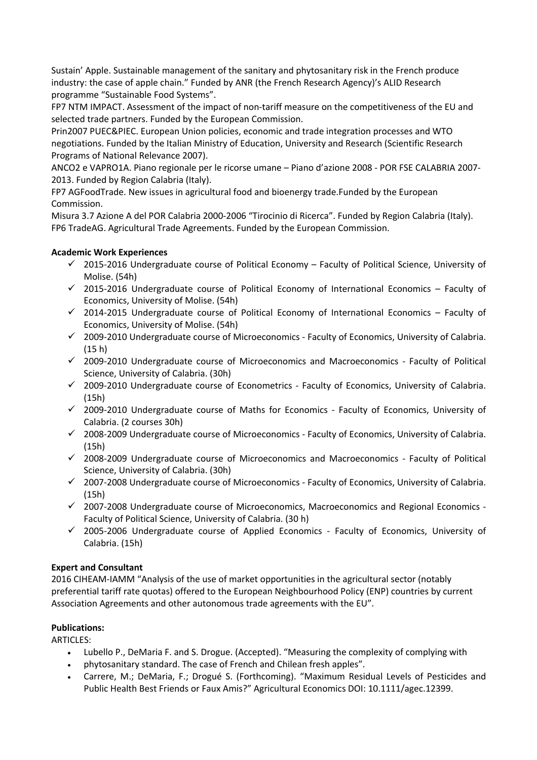Sustain' Apple. Sustainable management of the sanitary and phytosanitary risk in the French produce industry: the case of apple chain." Funded by ANR (the French Research Agency)'s ALID Research programme "Sustainable Food Systems".

FP7 NTM IMPACT. Assessment of the impact of non-tariff measure on the competitiveness of the EU and selected trade partners. Funded by the European Commission.

Prin2007 PUEC&PIEC. European Union policies, economic and trade integration processes and WTO negotiations. Funded by the Italian Ministry of Education, University and Research (Scientific Research Programs of National Relevance 2007).

ANCO2 e VAPRO1A. Piano regionale per le ricorse umane - Piano d'azione 2008 - POR FSE CALABRIA 2007-2013. Funded by Region Calabria (Italy).

FP7 AGFoodTrade. New issues in agricultural food and bioenergy trade.Funded by the European Commission.

Misura 3.7 Azione A del POR Calabria 2000-2006 "Tirocinio di Ricerca". Funded by Region Calabria (Italy). FP6 TradeAG. Agricultural Trade Agreements. Funded by the European Commission.

# **Academic Work Experiences**

- $\checkmark$  2015-2016 Undergraduate course of Political Economy Faculty of Political Science, University of Molise. (54h)
- $\checkmark$  2015-2016 Undergraduate course of Political Economy of International Economics Faculty of Economics, University of Molise. (54h)
- $\checkmark$  2014-2015 Undergraduate course of Political Economy of International Economics Faculty of Economics, University of Molise. (54h)
- $\checkmark$  2009-2010 Undergraduate course of Microeconomics Faculty of Economics, University of Calabria.  $(15 h)$
- √ 2009-2010 Undergraduate course of Microeconomics and Macroeconomics Faculty of Political Science, University of Calabria. (30h)
- $\checkmark$  2009-2010 Undergraduate course of Econometrics Faculty of Economics, University of Calabria.  $(15h)$
- √ 2009-2010 Undergraduate course of Maths for Economics Faculty of Economics, University of Calabria. (2 courses 30h)
- $\checkmark$  2008-2009 Undergraduate course of Microeconomics Faculty of Economics, University of Calabria.  $(15h)$
- √ 2008-2009 Undergraduate course of Microeconomics and Macroeconomics Faculty of Political Science, University of Calabria. (30h)
- √ 2007-2008 Undergraduate course of Microeconomics Faculty of Economics, University of Calabria.  $(15h)$
- √ 2007-2008 Undergraduate course of Microeconomics, Macroeconomics and Regional Economics -Faculty of Political Science, University of Calabria. (30 h)
- $\checkmark$  2005-2006 Undergraduate course of Applied Economics Faculty of Economics, University of Calabria. (15h)

# **Expert and Consultant**

2016 CIHEAM-IAMM "Analysis of the use of market opportunities in the agricultural sector (notably preferential tariff rate quotas) offered to the European Neighbourhood Policy (ENP) countries by current Association Agreements and other autonomous trade agreements with the EU".

# **Publications:**

**ARTICLES:** 

- Lubello P., DeMaria F. and S. Drogue. (Accepted). "Measuring the complexity of complying with  $\bullet$
- phytosanitary standard. The case of French and Chilean fresh apples".
- Carrere, M.; DeMaria, F.; Drogué S. (Forthcoming). "Maximum Residual Levels of Pesticides and Public Health Best Friends or Faux Amis?" Agricultural Economics DOI: 10.1111/agec.12399.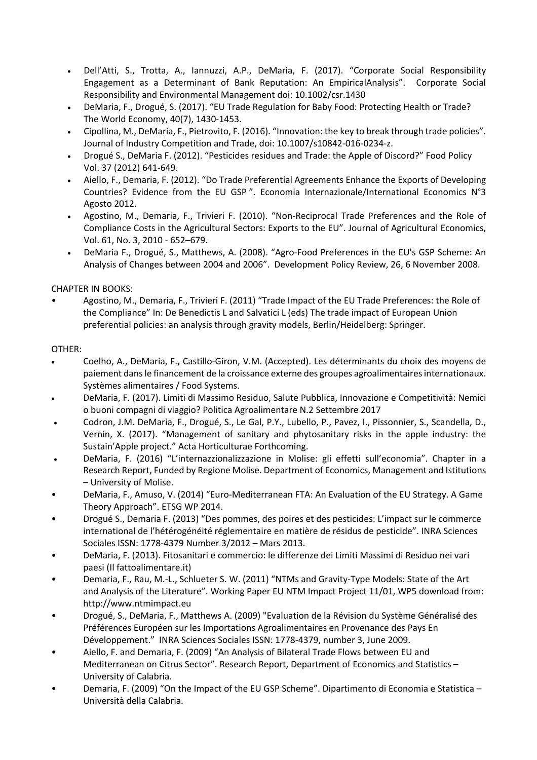- Dell'Atti, S., Trotta, A., Iannuzzi, A.P., DeMaria, F. (2017). "Corporate Social Responsibility  $\bullet$ Engagement as a Determinant of Bank Reputation: An EmpiricalAnalysis". Corporate Social Responsibility and Environmental Management doi: 10.1002/csr.1430
- DeMaria, F., Drogué, S. (2017). "EU Trade Regulation for Baby Food: Protecting Health or Trade?  $\bullet$ The World Economy, 40(7), 1430-1453.
- Cipollina, M., DeMaria, F., Pietrovito, F. (2016). "Innovation: the key to break through trade policies".  $\bullet$ Journal of Industry Competition and Trade, doi: 10.1007/s10842-016-0234-z.
- Drogué S., DeMaria F. (2012). "Pesticides residues and Trade: the Apple of Discord?" Food Policy Vol. 37 (2012) 641-649.
- Aiello, F., Demaria, F. (2012). "Do Trade Preferential Agreements Enhance the Exports of Developing Countries? Evidence from the EU GSP". Economia Internazionale/International Economics N°3 Agosto 2012.
- Agostino, M., Demaria, F., Trivieri F. (2010). "Non-Reciprocal Trade Preferences and the Role of  $\bullet$ Compliance Costs in the Agricultural Sectors: Exports to the EU". Journal of Agricultural Economics, Vol. 61, No. 3, 2010 - 652-679.
- DeMaria F., Drogué, S., Matthews, A. (2008). "Agro-Food Preferences in the EU's GSP Scheme: An Analysis of Changes between 2004 and 2006". Development Policy Review, 26, 6 November 2008.

**CHAPTER IN BOOKS:** 

Agostino, M., Demaria, F., Trivieri F. (2011) "Trade Impact of the EU Trade Preferences: the Role of the Compliance" In: De Benedictis L and Salvatici L (eds) The trade impact of European Union preferential policies: an analysis through gravity models, Berlin/Heidelberg: Springer.

## OTHER:

- Coelho, A., DeMaria, F., Castillo-Giron, V.M. (Accepted). Les déterminants du choix des moyens de paiement dans le financement de la croissance externe des groupes agroalimentaires internationaux. Systèmes alimentaires / Food Systems.
- DeMaria, F. (2017). Limiti di Massimo Residuo, Salute Pubblica, Innovazione e Competitività: Nemici o buoni compagni di viaggio? Politica Agroalimentare N.2 Settembre 2017
- Codron, J.M. DeMaria, F., Drogué, S., Le Gal, P.Y., Lubello, P., Pavez, I., Pissonnier, S., Scandella, D., Vernin, X. (2017). "Management of sanitary and phytosanitary risks in the apple industry: the Sustain'Apple project." Acta Horticulturae Forthcoming.
- DeMaria, F. (2016) "L'internazzionalizzazione in Molise: gli effetti sull'economia". Chapter in a Research Report, Funded by Regione Molise. Department of Economics, Management and Istitutions - University of Molise.
- DeMaria, F., Amuso, V. (2014) "Euro-Mediterranean FTA: An Evaluation of the EU Strategy. A Game Theory Approach". ETSG WP 2014.
- Drogué S., Demaria F. (2013) "Des pommes, des poires et des pesticides: L'impact sur le commerce international de l'hétérogénéité réglementaire en matière de résidus de pesticide". INRA Sciences Sociales ISSN: 1778-4379 Number 3/2012 - Mars 2013.
- DeMaria, F. (2013). Fitosanitari e commercio: le differenze dei Limiti Massimi di Residuo nei vari paesi (Il fattoalimentare.it)
- Demaria, F., Rau, M.-L., Schlueter S. W. (2011) "NTMs and Gravity-Type Models: State of the Art and Analysis of the Literature". Working Paper EU NTM Impact Project 11/01, WP5 download from: http://www.ntmimpact.eu
- Drogué, S., DeMaria, F., Matthews A. (2009) "Evaluation de la Révision du Système Généralisé des Préférences Européen sur les Importations Agroalimentaires en Provenance des Pays En Développement." INRA Sciences Sociales ISSN: 1778-4379, number 3, June 2009.
- Aiello, F. and Demaria, F. (2009) "An Analysis of Bilateral Trade Flows between EU and Mediterranean on Citrus Sector". Research Report, Department of Economics and Statistics -University of Calabria.
- Demaria, F. (2009) "On the Impact of the EU GSP Scheme". Dipartimento di Economia e Statistica -Università della Calabria.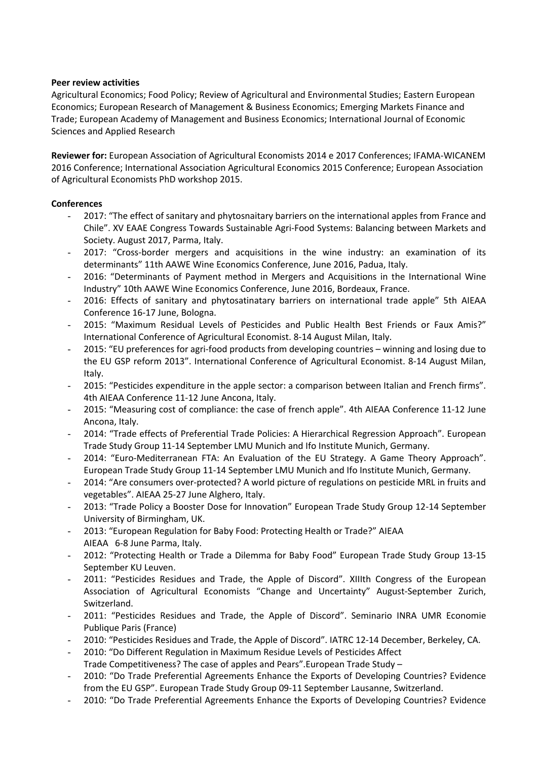#### **Peer review activities**

Agricultural Economics; Food Policy; Review of Agricultural and Environmental Studies; Eastern European Economics; European Research of Management & Business Economics; Emerging Markets Finance and Trade; European Academy of Management and Business Economics; International Journal of Economic Sciences and Applied Research

Reviewer for: European Association of Agricultural Economists 2014 e 2017 Conferences; IFAMA-WICANEM 2016 Conference; International Association Agricultural Economics 2015 Conference; European Association of Agricultural Economists PhD workshop 2015.

## **Conferences**

- 2017: "The effect of sanitary and phytosnaitary barriers on the international apples from France and Chile". XV EAAE Congress Towards Sustainable Agri-Food Systems: Balancing between Markets and Society. August 2017, Parma, Italy.
- 2017: "Cross-border mergers and acquisitions in the wine industry: an examination of its determinants" 11th AAWE Wine Economics Conference, June 2016, Padua, Italy.
- 2016: "Determinants of Payment method in Mergers and Acquisitions in the International Wine Industry" 10th AAWE Wine Economics Conference, June 2016, Bordeaux, France.
- 2016: Effects of sanitary and phytosatinatary barriers on international trade apple" 5th AIEAA Conference 16-17 June, Bologna.
- 2015: "Maximum Residual Levels of Pesticides and Public Health Best Friends or Faux Amis?" International Conference of Agricultural Economist. 8-14 August Milan, Italy.
- 2015: "EU preferences for agri-food products from developing countries winning and losing due to the EU GSP reform 2013". International Conference of Agricultural Economist. 8-14 August Milan, Italy.
- 2015: "Pesticides expenditure in the apple sector: a comparison between Italian and French firms". 4th AIEAA Conference 11-12 June Ancona, Italy.
- 2015: "Measuring cost of compliance: the case of french apple". 4th AIEAA Conference 11-12 June Ancona, Italy.
- 2014: "Trade effects of Preferential Trade Policies: A Hierarchical Regression Approach". European Trade Study Group 11-14 September LMU Munich and Ifo Institute Munich, Germany.
- 2014: "Euro-Mediterranean FTA: An Evaluation of the EU Strategy. A Game Theory Approach". European Trade Study Group 11-14 September LMU Munich and Ifo Institute Munich, Germany.
- 2014: "Are consumers over-protected? A world picture of regulations on pesticide MRL in fruits and vegetables". AIEAA 25-27 June Alghero, Italy.
- 2013: "Trade Policy a Booster Dose for Innovation" European Trade Study Group 12-14 September University of Birmingham, UK.
- 2013: "European Regulation for Baby Food: Protecting Health or Trade?" AIEAA AIEAA 6-8 June Parma, Italy.
- 2012: "Protecting Health or Trade a Dilemma for Baby Food" European Trade Study Group 13-15 September KU Leuven.
- 2011: "Pesticides Residues and Trade, the Apple of Discord". XIIIth Congress of the European Association of Agricultural Economists "Change and Uncertainty" August-September Zurich, Switzerland.
- 2011: "Pesticides Residues and Trade, the Apple of Discord". Seminario INRA UMR Economie Publique Paris (France)
- 2010: "Pesticides Residues and Trade, the Apple of Discord". IATRC 12-14 December, Berkeley, CA.
- 2010: "Do Different Regulation in Maximum Residue Levels of Pesticides Affect
- Trade Competitiveness? The case of apples and Pears". European Trade Study -
- 2010: "Do Trade Preferential Agreements Enhance the Exports of Developing Countries? Evidence from the EU GSP". European Trade Study Group 09-11 September Lausanne, Switzerland.
- 2010: "Do Trade Preferential Agreements Enhance the Exports of Developing Countries? Evidence